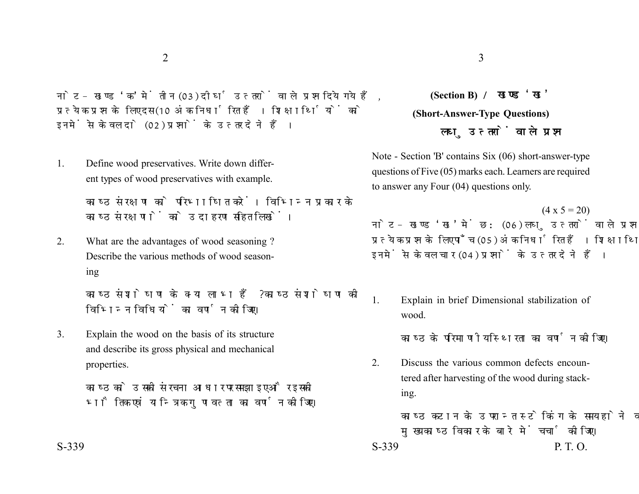नोट- खण्ड 'क' में तीन (03) दीर्घ उत्तरों वाले प्रश्न दिये गये हैं. प्रत्येक प्रश्न के लिए दस (10 अंक निर्धारित हैं। शिक्षार्थियों को इनमें से केवल दो (02) प्रश्नों के उत्तर देने हैं।

1. Define wood preservatives. Write down different types of wood preservatives with example.

काष्ट्र संरक्षण को परिभाषित करें। विभिन्न प्रकार के काष्ठ संरक्षणों को उदाहरण सहित लिखें।

2. What are the advantages of wood seasoning ? Describe the various methods of wood seasoning

> काष्ट्र संशोषण के क्या लाभ हैं? काष्ट्र संशोषण की विभिन्न विधियों का वर्णन कोजिए।

3. Explain the wood on the basis of its structure and describe its gross physical and mechanical properties.

> काष्ठ को उसकी संरचना आधार पर समझाइए और इसकी भौतिक एवं यान्त्रिक गुणवत्ता का वर्णन कोजिए।

**(Section B) (Short-Answer-Type Questions)**

## Note - Section 'B' contains Six (06) short-answer-type questions of Five (05) marks each. Learners are required to answer any Four (04) questions only.

लघ उत्तरों वाले प्रश्न

 $(4 \times 5 = 20)$ 

नोट- खण्ड 'ख' में छ: (06) लघु उत्तरों वाले प्रश्न दिये गये हैं, प्रत्येक प्रश्न के लिए पाँच (05) अंक निर्धारित हैं। शिक्षार्थियों को इनमें से केवल चार (04) प्रश्नों के उत्तर देने हैं।

1. Explain in brief Dimensional stabilization of wood.

काष्ठ के परिमाणीय स्थिरता का वर्णन कोजिए।

2. Discuss the various common defects encountered after harvesting of the wood during stacking.

काष्ट्र कटान के उपरान्त स्टेकिंग के समय होने वाले मख्य काष्ठ विकार के बारे में चर्चा कीजिए।  $S-339$  P. T. O.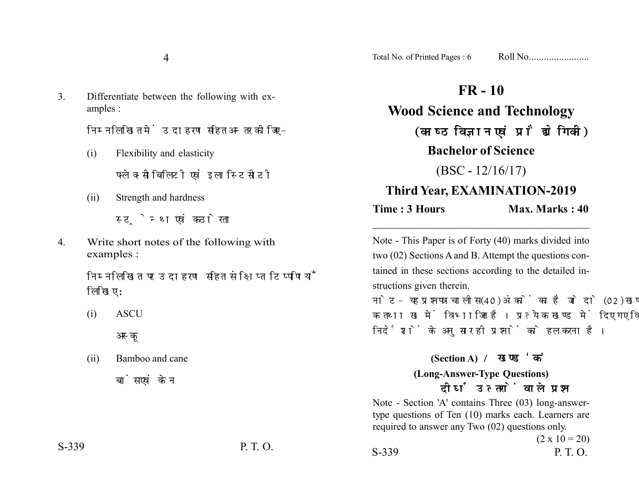3. Differentiate between the following with examples :

निम्नलिखित में उदाहरण सहित अन्तर कोजिए -

- (i) Flexibility and elasticity फ्लेक्सीबिलिटी एवं इलास्टिसीटी
- (ii) Strength and hardness स्टेन्थ एवं कठोरता
- 4. Write short notes of the following with examples :

निम्नलिखित पर उदाहरण सहित संक्षिप्त टिप्पणियाँ लिखिए :

(i) ASCU

अस्कू

(ii) Bamboo and cane

बांस एवं केन

Total No. of Printed Pages : 6 Roll No........................

**FR - 10 Wood Science and Technology** (काष्ठ विज्ञान एवं प्रौद्योगिकी) **Bachelor of Science**  $(BSC - 12/16/17)$ **Third Year, EXAMINATION-2019**

## **Time : 3 Hours Max. Marks : 40**

Note - This Paper is of Forty (40) marks divided into two (02) Sections A and B. Attempt the questions contained in these sections according to the detailed instructions given therein.

 $\frac{1}{2}$  ,  $\frac{1}{2}$  ,  $\frac{1}{2}$  ,  $\frac{1}{2}$  ,  $\frac{1}{2}$  ,  $\frac{1}{2}$  ,  $\frac{1}{2}$  ,  $\frac{1}{2}$  ,  $\frac{1}{2}$  ,  $\frac{1}{2}$  ,  $\frac{1}{2}$  ,  $\frac{1}{2}$  ,  $\frac{1}{2}$  ,  $\frac{1}{2}$  ,  $\frac{1}{2}$  ,  $\frac{1}{2}$  ,  $\frac{1}{2}$  ,  $\frac{1}{2}$  ,  $\frac{1$ 

नोट- यह प्रश्नपत्र चालीस (40) अंकों का है जो दो (02) खण्डों. क तथा ख में विभाजित है। प्रत्येक खण्ड में दिए गए विस्तृत निर्देशों के अनुसार ही प्रश्नों को हल करना है।

> **(Section A) (Long-Answer-Type Questions)** दीर्घ उत्तरों वाले प्रश्न

Note - Section 'A' contains Three (03) long-answertype questions of Ten (10) marks each. Learners are required to answer any Two (02) questions only.  $(2 - 10 - 20)$ 

|       |          |       | $(2 \times 10 - 20)$ |
|-------|----------|-------|----------------------|
| S-339 | P. T. O. | S-339 | P. T. O.             |